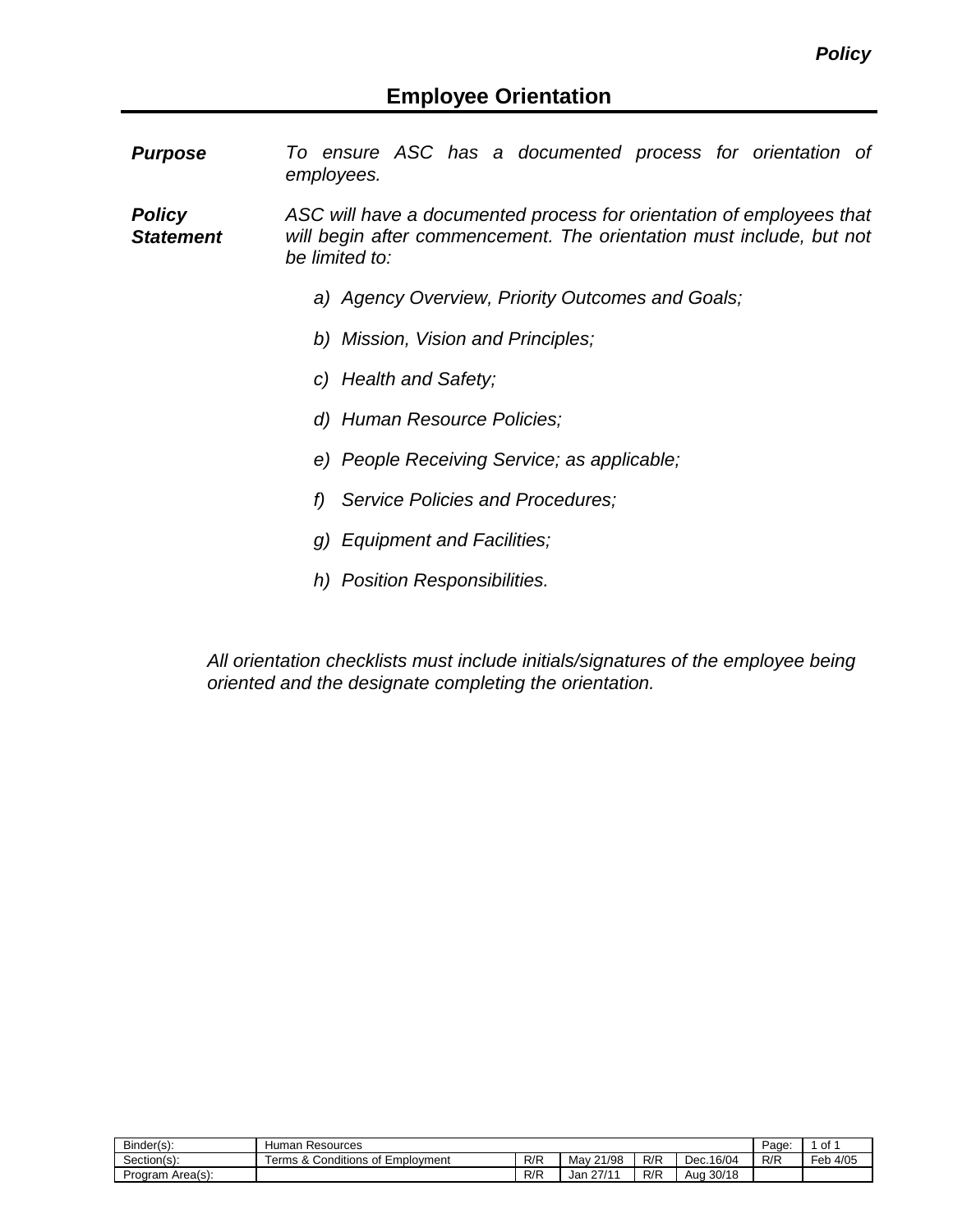*Purpose To ensure ASC has a documented process for orientation of employees.*

*Policy Statement ASC will have a documented process for orientation of employees that will begin after commencement. The orientation must include, but not be limited to:*

- *a) Agency Overview, Priority Outcomes and Goals;*
- *b) Mission, Vision and Principles;*
- *c) Health and Safety;*
- *d) Human Resource Policies;*
- *e) People Receiving Service; as applicable;*
- *f) Service Policies and Procedures;*
- *g) Equipment and Facilities;*
- *h) Position Responsibilities.*

*All orientation checklists must include initials/signatures of the employee being oriented and the designate completing the orientation.*

| Binder(s):                              | Human Resources                                      |     |               |     |                | Page. | 0t                 |
|-----------------------------------------|------------------------------------------------------|-----|---------------|-----|----------------|-------|--------------------|
| $\overline{\phantom{a}}$<br>Section(s): | 11.1<br>-<br>erms &<br>' Emplovment<br>Conditions of | R/R | Mav.<br>21/98 | R/R | .16/04<br>Dec. | R/R   | $-$<br>4/05<br>Feb |
| Area(s):<br>Program                     |                                                      | R/R | 27/44<br>Jan  | R/R | 30/18<br>Aua   |       |                    |